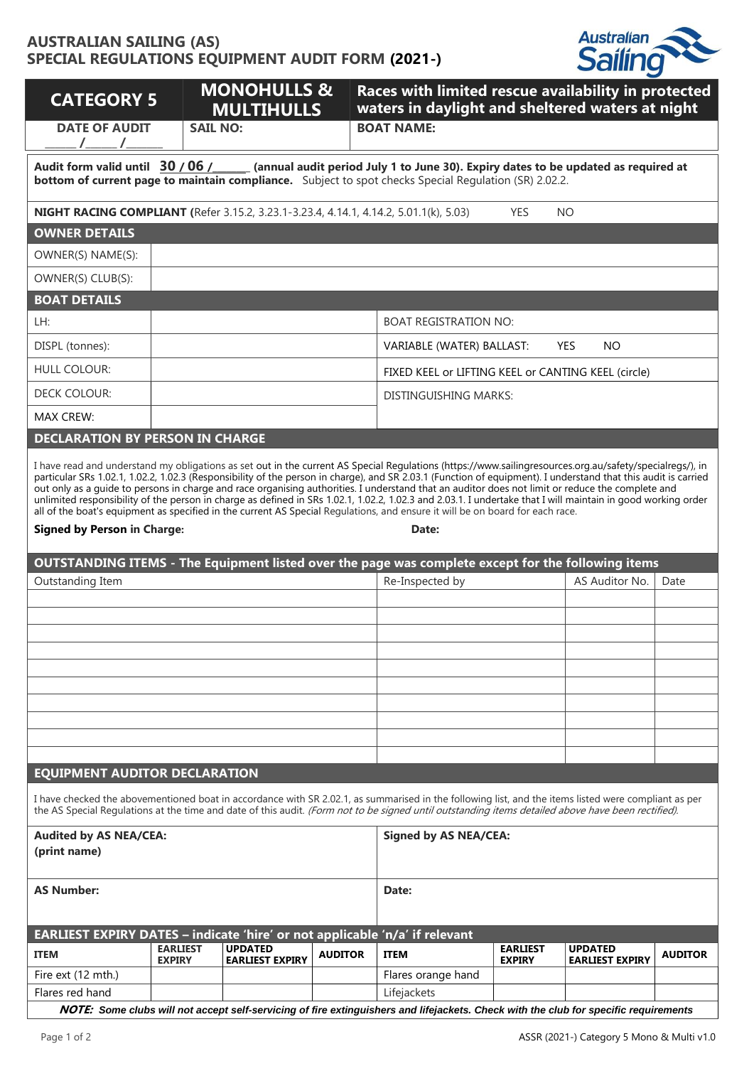## **AUSTRALIAN SAILING (AS) SPECIAL REGULATIONS EQUIPMENT AUDIT FORM (2021-)**



| <b>CATEGORY 5</b>                                                                                                                                                                                                                                                                                                                                                                                                                                                                                                                                                                                      |                                  | <b>MONOHULLS &amp;</b><br><b>MULTIHULLS</b> |                | Races with limited rescue availability in protected<br>waters in daylight and sheltered waters at night                                                                                                                                                                                                    |                                  |                                          |                |  |  |  |  |
|--------------------------------------------------------------------------------------------------------------------------------------------------------------------------------------------------------------------------------------------------------------------------------------------------------------------------------------------------------------------------------------------------------------------------------------------------------------------------------------------------------------------------------------------------------------------------------------------------------|----------------------------------|---------------------------------------------|----------------|------------------------------------------------------------------------------------------------------------------------------------------------------------------------------------------------------------------------------------------------------------------------------------------------------------|----------------------------------|------------------------------------------|----------------|--|--|--|--|
| <b>DATE OF AUDIT</b><br>$\frac{1}{\sqrt{2}}$                                                                                                                                                                                                                                                                                                                                                                                                                                                                                                                                                           | <b>SAIL NO:</b>                  |                                             |                | <b>BOAT NAME:</b>                                                                                                                                                                                                                                                                                          |                                  |                                          |                |  |  |  |  |
| Audit form valid until 30/06/ (annual audit period July 1 to June 30). Expiry dates to be updated as required at<br><b>bottom of current page to maintain compliance.</b> Subject to spot checks Special Requlation (SR) 2.02.2.                                                                                                                                                                                                                                                                                                                                                                       |                                  |                                             |                |                                                                                                                                                                                                                                                                                                            |                                  |                                          |                |  |  |  |  |
| NIGHT RACING COMPLIANT (Refer 3.15.2, 3.23.1-3.23.4, 4.14.1, 4.14.2, 5.01.1(k), 5.03)                                                                                                                                                                                                                                                                                                                                                                                                                                                                                                                  |                                  |                                             | <b>YES</b>     | <b>NO</b>                                                                                                                                                                                                                                                                                                  |                                  |                                          |                |  |  |  |  |
| <b>OWNER DETAILS</b>                                                                                                                                                                                                                                                                                                                                                                                                                                                                                                                                                                                   |                                  |                                             |                |                                                                                                                                                                                                                                                                                                            |                                  |                                          |                |  |  |  |  |
| OWNER(S) NAME(S):                                                                                                                                                                                                                                                                                                                                                                                                                                                                                                                                                                                      |                                  |                                             |                |                                                                                                                                                                                                                                                                                                            |                                  |                                          |                |  |  |  |  |
| OWNER(S) CLUB(S):                                                                                                                                                                                                                                                                                                                                                                                                                                                                                                                                                                                      |                                  |                                             |                |                                                                                                                                                                                                                                                                                                            |                                  |                                          |                |  |  |  |  |
| <b>BOAT DETAILS</b>                                                                                                                                                                                                                                                                                                                                                                                                                                                                                                                                                                                    |                                  |                                             |                |                                                                                                                                                                                                                                                                                                            |                                  |                                          |                |  |  |  |  |
| LH:                                                                                                                                                                                                                                                                                                                                                                                                                                                                                                                                                                                                    |                                  |                                             |                | <b>BOAT REGISTRATION NO:</b>                                                                                                                                                                                                                                                                               |                                  |                                          |                |  |  |  |  |
| DISPL (tonnes):                                                                                                                                                                                                                                                                                                                                                                                                                                                                                                                                                                                        |                                  |                                             |                | VARIABLE (WATER) BALLAST:                                                                                                                                                                                                                                                                                  |                                  | <b>YES</b><br>NO.                        |                |  |  |  |  |
| <b>HULL COLOUR:</b>                                                                                                                                                                                                                                                                                                                                                                                                                                                                                                                                                                                    |                                  |                                             |                | FIXED KEEL or LIFTING KEEL or CANTING KEEL (circle)                                                                                                                                                                                                                                                        |                                  |                                          |                |  |  |  |  |
| DECK COLOUR:                                                                                                                                                                                                                                                                                                                                                                                                                                                                                                                                                                                           |                                  |                                             |                | DISTINGUISHING MARKS:                                                                                                                                                                                                                                                                                      |                                  |                                          |                |  |  |  |  |
| MAX CREW:                                                                                                                                                                                                                                                                                                                                                                                                                                                                                                                                                                                              |                                  |                                             |                |                                                                                                                                                                                                                                                                                                            |                                  |                                          |                |  |  |  |  |
| <b>DECLARATION BY PERSON IN CHARGE</b>                                                                                                                                                                                                                                                                                                                                                                                                                                                                                                                                                                 |                                  |                                             |                |                                                                                                                                                                                                                                                                                                            |                                  |                                          |                |  |  |  |  |
| out only as a guide to persons in charge and race organising authorities. I understand that an auditor does not limit or reduce the complete and<br>unlimited responsibility of the person in charge as defined in SRs 1.02.1, 1.02.2, 1.02.3 and 2.03.1. I undertake that I will maintain in good working order<br>all of the boat's equipment as specified in the current AS Special Regulations, and ensure it will be on board for each race.<br><b>Signed by Person in Charge:</b><br>Date:<br>OUTSTANDING ITEMS - The Equipment listed over the page was complete except for the following items |                                  |                                             |                |                                                                                                                                                                                                                                                                                                            |                                  |                                          |                |  |  |  |  |
| Outstanding Item                                                                                                                                                                                                                                                                                                                                                                                                                                                                                                                                                                                       |                                  |                                             |                | Re-Inspected by                                                                                                                                                                                                                                                                                            |                                  | AS Auditor No.                           | Date           |  |  |  |  |
|                                                                                                                                                                                                                                                                                                                                                                                                                                                                                                                                                                                                        |                                  |                                             |                |                                                                                                                                                                                                                                                                                                            |                                  |                                          |                |  |  |  |  |
|                                                                                                                                                                                                                                                                                                                                                                                                                                                                                                                                                                                                        |                                  |                                             |                |                                                                                                                                                                                                                                                                                                            |                                  |                                          |                |  |  |  |  |
|                                                                                                                                                                                                                                                                                                                                                                                                                                                                                                                                                                                                        |                                  |                                             |                |                                                                                                                                                                                                                                                                                                            |                                  |                                          |                |  |  |  |  |
|                                                                                                                                                                                                                                                                                                                                                                                                                                                                                                                                                                                                        |                                  |                                             |                |                                                                                                                                                                                                                                                                                                            |                                  |                                          |                |  |  |  |  |
|                                                                                                                                                                                                                                                                                                                                                                                                                                                                                                                                                                                                        |                                  |                                             |                |                                                                                                                                                                                                                                                                                                            |                                  |                                          |                |  |  |  |  |
|                                                                                                                                                                                                                                                                                                                                                                                                                                                                                                                                                                                                        |                                  |                                             |                |                                                                                                                                                                                                                                                                                                            |                                  |                                          |                |  |  |  |  |
|                                                                                                                                                                                                                                                                                                                                                                                                                                                                                                                                                                                                        |                                  |                                             |                |                                                                                                                                                                                                                                                                                                            |                                  |                                          |                |  |  |  |  |
|                                                                                                                                                                                                                                                                                                                                                                                                                                                                                                                                                                                                        |                                  |                                             |                |                                                                                                                                                                                                                                                                                                            |                                  |                                          |                |  |  |  |  |
| <b>EQUIPMENT AUDITOR DECLARATION</b>                                                                                                                                                                                                                                                                                                                                                                                                                                                                                                                                                                   |                                  |                                             |                |                                                                                                                                                                                                                                                                                                            |                                  |                                          |                |  |  |  |  |
|                                                                                                                                                                                                                                                                                                                                                                                                                                                                                                                                                                                                        |                                  |                                             |                | I have checked the abovementioned boat in accordance with SR 2.02.1, as summarised in the following list, and the items listed were compliant as per<br>the AS Special Regulations at the time and date of this audit. (Form not to be signed until outstanding items detailed above have been rectified). |                                  |                                          |                |  |  |  |  |
| <b>Audited by AS NEA/CEA:</b><br>(print name)                                                                                                                                                                                                                                                                                                                                                                                                                                                                                                                                                          |                                  |                                             |                | <b>Signed by AS NEA/CEA:</b>                                                                                                                                                                                                                                                                               |                                  |                                          |                |  |  |  |  |
| <b>AS Number:</b>                                                                                                                                                                                                                                                                                                                                                                                                                                                                                                                                                                                      |                                  |                                             |                | Date:                                                                                                                                                                                                                                                                                                      |                                  |                                          |                |  |  |  |  |
| EARLIEST EXPIRY DATES - indicate 'hire' or not applicable 'n/a' if relevant                                                                                                                                                                                                                                                                                                                                                                                                                                                                                                                            |                                  |                                             |                |                                                                                                                                                                                                                                                                                                            |                                  |                                          |                |  |  |  |  |
| <b>ITEM</b>                                                                                                                                                                                                                                                                                                                                                                                                                                                                                                                                                                                            | <b>EARLIEST</b><br><b>EXPIRY</b> | <b>UPDATED</b><br><b>EARLIEST EXPIRY</b>    | <b>AUDITOR</b> | <b>ITEM</b>                                                                                                                                                                                                                                                                                                | <b>EARLIEST</b><br><b>EXPIRY</b> | <b>UPDATED</b><br><b>EARLIEST EXPIRY</b> | <b>AUDITOR</b> |  |  |  |  |
| Fire ext (12 mth.)                                                                                                                                                                                                                                                                                                                                                                                                                                                                                                                                                                                     |                                  |                                             |                | Flares orange hand                                                                                                                                                                                                                                                                                         |                                  |                                          |                |  |  |  |  |
| Flares red hand                                                                                                                                                                                                                                                                                                                                                                                                                                                                                                                                                                                        |                                  |                                             |                | Lifejackets                                                                                                                                                                                                                                                                                                |                                  |                                          |                |  |  |  |  |
|                                                                                                                                                                                                                                                                                                                                                                                                                                                                                                                                                                                                        |                                  |                                             |                | NOTE: Some clubs will not accept self-servicing of fire extinguishers and lifejackets. Check with the club for specific requirements                                                                                                                                                                       |                                  |                                          |                |  |  |  |  |